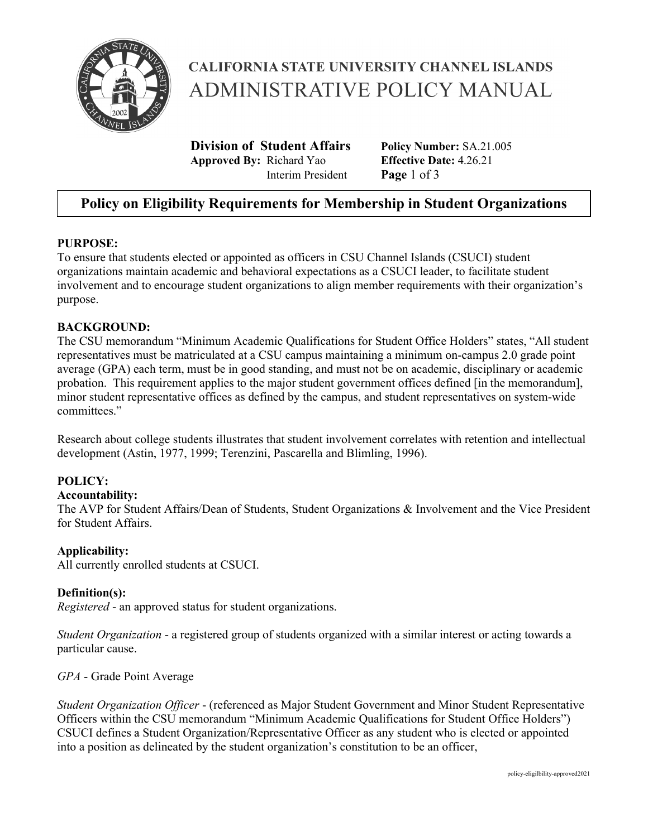

# **CALIFORNIA STATE UNIVERSITY CHANNEL ISLANDS ADMINISTRATIVE POLICY MANUAL**

**Division of Student Affairs** Policy Number: SA.21.005<br> **Annroved By:** Richard Yao Effective Date: 4.26.21 **Approved By: Richard Yao** Interim President **Page** 1 of 3

## **Policy on Eligibility Requirements for Membership in Student Organizations**

#### **PURPOSE:**

To ensure that students elected or appointed as officers in CSU Channel Islands (CSUCI) student organizations maintain academic and behavioral expectations as a CSUCI leader, to facilitate student involvement and to encourage student organizations to align member requirements with their organization's purpose.

#### **BACKGROUND:**

The CSU memorandum "Minimum Academic Qualifications for Student Office Holders" states, "All student representatives must be matriculated at a CSU campus maintaining a minimum on-campus 2.0 grade point average (GPA) each term, must be in good standing, and must not be on academic, disciplinary or academic probation. This requirement applies to the major student government offices defined [in the memorandum], minor student representative offices as defined by the campus, and student representatives on system-wide committees."

Research about college students illustrates that student involvement correlates with retention and intellectual development (Astin, 1977, 1999; Terenzini, Pascarella and Blimling, 1996).

### **POLICY:**

#### **Accountability:**

The AVP for Student Affairs/Dean of Students, Student Organizations & Involvement and the Vice President for Student Affairs.

#### **Applicability:**

All currently enrolled students at CSUCI.

#### **Definition(s):**

*Registered* - an approved status for student organizations.

*Student Organization* - a registered group of students organized with a similar interest or acting towards a particular cause.

*GPA* - Grade Point Average

*Student Organization Officer* - (referenced as Major Student Government and Minor Student Representative Officers within the CSU memorandum "Minimum Academic Qualifications for Student Office Holders") CSUCI defines a Student Organization/Representative Officer as any student who is elected or appointed into a position as delineated by the student organization's constitution to be an officer,

policy-eligilbility-approved2021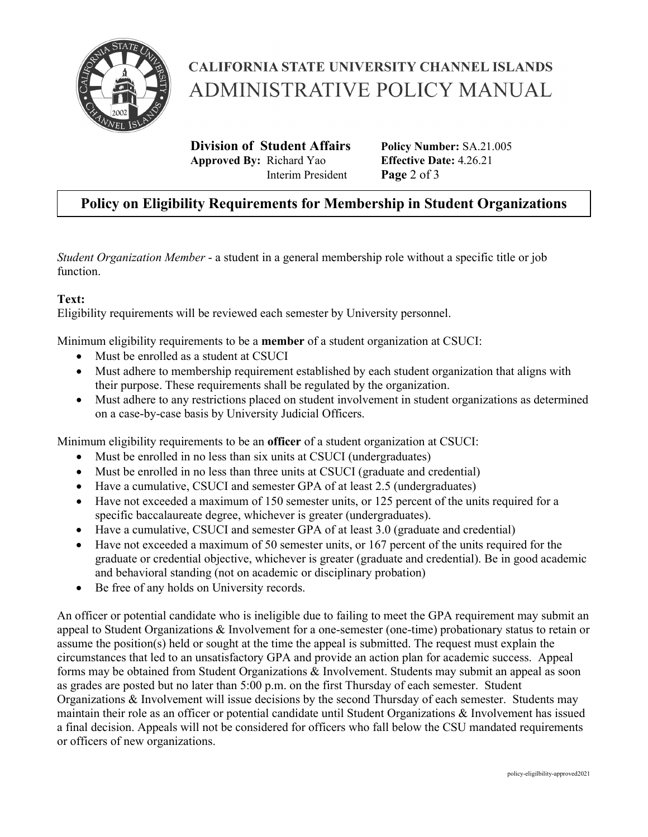

# **CALIFORNIA STATE UNIVERSITY CHANNEL ISLANDS ADMINISTRATIVE POLICY MANUAL**

**Division of Student Affairs** Policy Number: SA.21.005<br> **Annroved By:** Richard Yao Effective Date: 4.26.21 **Approved By: Richard Yao** Interim President **Page** 2 of 3

### **Policy on Eligibility Requirements for Membership in Student Organizations**

*Student Organization Member* - a student in a general membership role without a specific title or job function.

#### **Text:**

Eligibility requirements will be reviewed each semester by University personnel.

Minimum eligibility requirements to be a **member** of a student organization at CSUCI:

- Must be enrolled as a student at CSUCI
- Must adhere to membership requirement established by each student organization that aligns with their purpose. These requirements shall be regulated by the organization.
- Must adhere to any restrictions placed on student involvement in student organizations as determined on a case-by-case basis by University Judicial Officers.

Minimum eligibility requirements to be an **officer** of a student organization at CSUCI:

- Must be enrolled in no less than six units at CSUCI (undergraduates)
- Must be enrolled in no less than three units at CSUCI (graduate and credential)
- Have a cumulative, CSUCI and semester GPA of at least 2.5 (undergraduates)
- Have not exceeded a maximum of 150 semester units, or 125 percent of the units required for a specific baccalaureate degree, whichever is greater (undergraduates).
- Have a cumulative, CSUCI and semester GPA of at least 3.0 (graduate and credential)
- Have not exceeded a maximum of 50 semester units, or 167 percent of the units required for the graduate or credential objective, whichever is greater (graduate and credential). Be in good academic and behavioral standing (not on academic or disciplinary probation)
- Be free of any holds on University records.

An officer or potential candidate who is ineligible due to failing to meet the GPA requirement may submit an appeal to Student Organizations & Involvement for a one-semester (one-time) probationary status to retain or assume the position(s) held or sought at the time the appeal is submitted. The request must explain the circumstances that led to an unsatisfactory GPA and provide an action plan for academic success. Appeal forms may be obtained from Student Organizations & Involvement. Students may submit an appeal as soon as grades are posted but no later than 5:00 p.m. on the first Thursday of each semester. Student Organizations & Involvement will issue decisions by the second Thursday of each semester. Students may maintain their role as an officer or potential candidate until Student Organizations & Involvement has issued a final decision. Appeals will not be considered for officers who fall below the CSU mandated requirements or officers of new organizations.